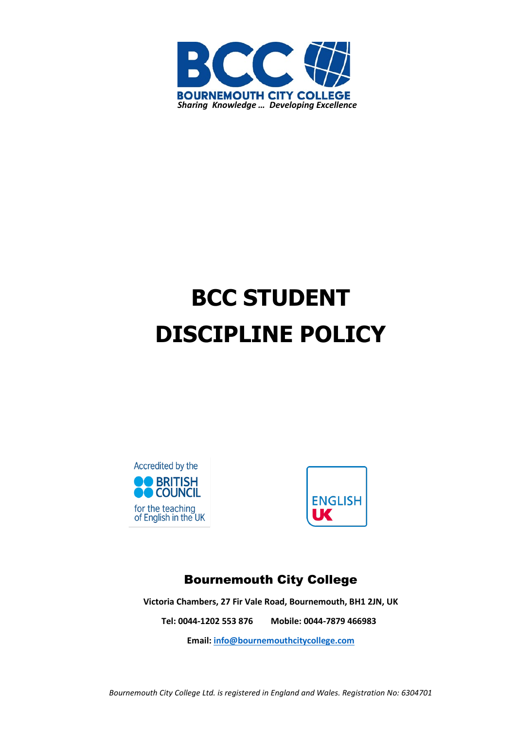

# **BCC STUDENT DISCIPLINE POLICY**





## Bournemouth City College

**Victoria Chambers, 27 Fir Vale Road, Bournemouth, BH1 2JN, UK**

**Tel: 0044-1202 553 876 Mobile: 0044-7879 466983**

**Email[: info@bournemouthcitycollege.com](mailto:info@bournemouthcitycollege.com)**

*Bournemouth City College Ltd. is registered in England and Wales. Registration No: 6304701*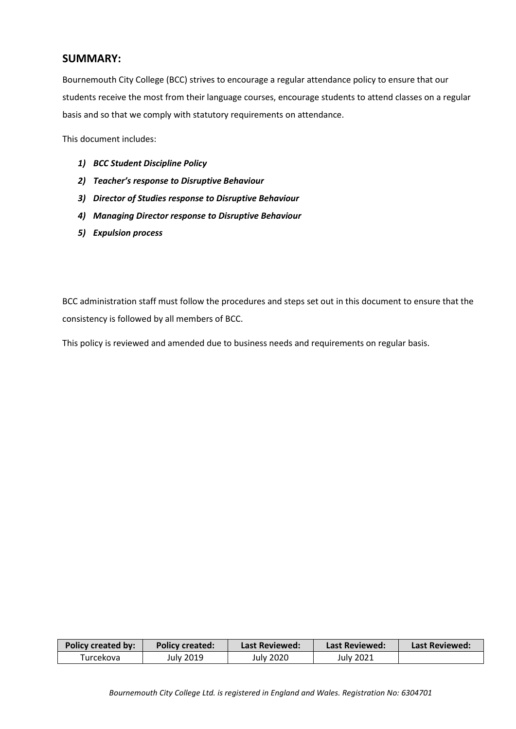### **SUMMARY:**

Bournemouth City College (BCC) strives to encourage a regular attendance policy to ensure that our students receive the most from their language courses, encourage students to attend classes on a regular basis and so that we comply with statutory requirements on attendance.

This document includes:

- *1) BCC Student Discipline Policy*
- *2) Teacher's response to Disruptive Behaviour*
- *3) Director of Studies response to Disruptive Behaviour*
- *4) Managing Director response to Disruptive Behaviour*
- *5) Expulsion process*

BCC administration staff must follow the procedures and steps set out in this document to ensure that the consistency is followed by all members of BCC.

This policy is reviewed and amended due to business needs and requirements on regular basis.

| <b>Policy created by:</b> | <b>Policy created:</b> | Last Reviewed: | Last Reviewed: | Last Reviewed: |
|---------------------------|------------------------|----------------|----------------|----------------|
| Turcekova                 | July 2019              | July 2020      | July 2021      |                |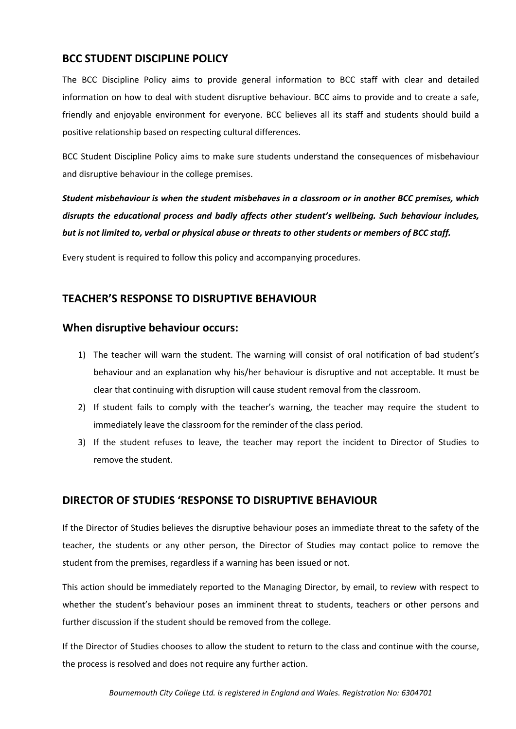## **BCC STUDENT DISCIPLINE POLICY**

The BCC Discipline Policy aims to provide general information to BCC staff with clear and detailed information on how to deal with student disruptive behaviour. BCC aims to provide and to create a safe, friendly and enjoyable environment for everyone. BCC believes all its staff and students should build a positive relationship based on respecting cultural differences.

BCC Student Discipline Policy aims to make sure students understand the consequences of misbehaviour and disruptive behaviour in the college premises.

*Student misbehaviour is when the student misbehaves in a classroom or in another BCC premises, which disrupts the educational process and badly affects other student's wellbeing. Such behaviour includes, but is not limited to, verbal or physical abuse or threats to other students or members of BCC staff.*

Every student is required to follow this policy and accompanying procedures.

## **TEACHER'S RESPONSE TO DISRUPTIVE BEHAVIOUR**

#### **When disruptive behaviour occurs:**

- 1) The teacher will warn the student. The warning will consist of oral notification of bad student's behaviour and an explanation why his/her behaviour is disruptive and not acceptable. It must be clear that continuing with disruption will cause student removal from the classroom.
- 2) If student fails to comply with the teacher's warning, the teacher may require the student to immediately leave the classroom for the reminder of the class period.
- 3) If the student refuses to leave, the teacher may report the incident to Director of Studies to remove the student.

#### **DIRECTOR OF STUDIES 'RESPONSE TO DISRUPTIVE BEHAVIOUR**

If the Director of Studies believes the disruptive behaviour poses an immediate threat to the safety of the teacher, the students or any other person, the Director of Studies may contact police to remove the student from the premises, regardless if a warning has been issued or not.

This action should be immediately reported to the Managing Director, by email, to review with respect to whether the student's behaviour poses an imminent threat to students, teachers or other persons and further discussion if the student should be removed from the college.

If the Director of Studies chooses to allow the student to return to the class and continue with the course, the process is resolved and does not require any further action.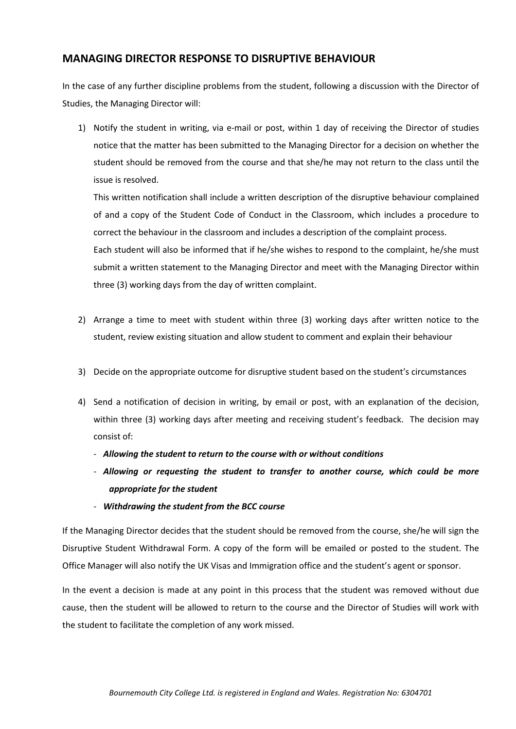## **MANAGING DIRECTOR RESPONSE TO DISRUPTIVE BEHAVIOUR**

three (3) working days from the day of written complaint.

In the case of any further discipline problems from the student, following a discussion with the Director of Studies, the Managing Director will:

1) Notify the student in writing, via e-mail or post, within 1 day of receiving the Director of studies notice that the matter has been submitted to the Managing Director for a decision on whether the student should be removed from the course and that she/he may not return to the class until the issue is resolved.

This written notification shall include a written description of the disruptive behaviour complained of and a copy of the Student Code of Conduct in the Classroom, which includes a procedure to correct the behaviour in the classroom and includes a description of the complaint process. Each student will also be informed that if he/she wishes to respond to the complaint, he/she must submit a written statement to the Managing Director and meet with the Managing Director within

- 2) Arrange a time to meet with student within three (3) working days after written notice to the student, review existing situation and allow student to comment and explain their behaviour
- 3) Decide on the appropriate outcome for disruptive student based on the student's circumstances
- 4) Send a notification of decision in writing, by email or post, with an explanation of the decision, within three (3) working days after meeting and receiving student's feedback. The decision may consist of:
	- *Allowing the student to return to the course with or without conditions*
	- *Allowing or requesting the student to transfer to another course, which could be more appropriate for the student*
	- *Withdrawing the student from the BCC course*

If the Managing Director decides that the student should be removed from the course, she/he will sign the Disruptive Student Withdrawal Form. A copy of the form will be emailed or posted to the student. The Office Manager will also notify the UK Visas and Immigration office and the student's agent or sponsor.

In the event a decision is made at any point in this process that the student was removed without due cause, then the student will be allowed to return to the course and the Director of Studies will work with the student to facilitate the completion of any work missed.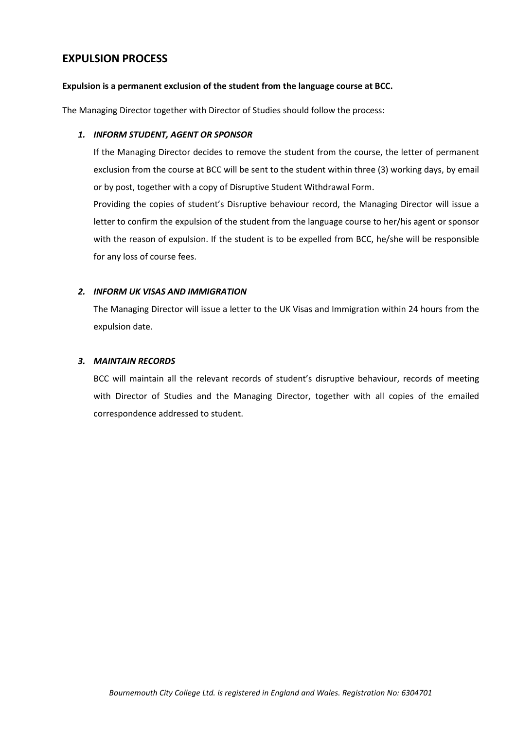## **EXPULSION PROCESS**

#### **Expulsion is a permanent exclusion of the student from the language course at BCC.**

The Managing Director together with Director of Studies should follow the process:

#### *1. INFORM STUDENT, AGENT OR SPONSOR*

If the Managing Director decides to remove the student from the course, the letter of permanent exclusion from the course at BCC will be sent to the student within three (3) working days, by email or by post, together with a copy of Disruptive Student Withdrawal Form.

Providing the copies of student's Disruptive behaviour record, the Managing Director will issue a letter to confirm the expulsion of the student from the language course to her/his agent or sponsor with the reason of expulsion. If the student is to be expelled from BCC, he/she will be responsible for any loss of course fees.

#### *2. INFORM UK VISAS AND IMMIGRATION*

The Managing Director will issue a letter to the UK Visas and Immigration within 24 hours from the expulsion date.

#### *3. MAINTAIN RECORDS*

BCC will maintain all the relevant records of student's disruptive behaviour, records of meeting with Director of Studies and the Managing Director, together with all copies of the emailed correspondence addressed to student.